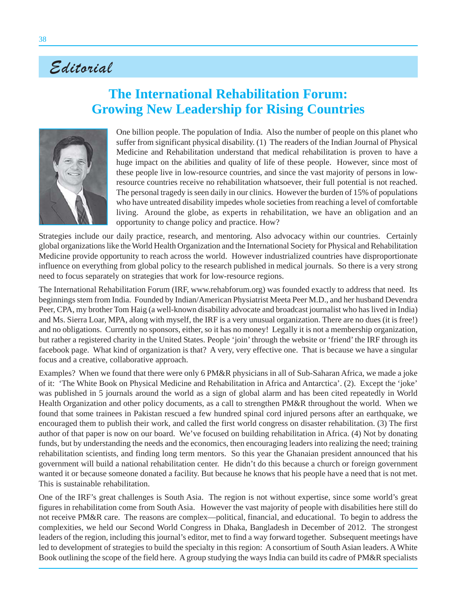## Editorial

## **The International Rehabilitation Forum: Growing New Leadership for Rising Countries**



One billion people. The population of India. Also the number of people on this planet who suffer from significant physical disability. (1) The readers of the Indian Journal of Physical Medicine and Rehabilitation understand that medical rehabilitation is proven to have a huge impact on the abilities and quality of life of these people. However, since most of these people live in low-resource countries, and since the vast majority of persons in lowresource countries receive no rehabilitation whatsoever, their full potential is not reached. The personal tragedy is seen daily in our clinics. However the burden of 15% of populations who have untreated disability impedes whole societies from reaching a level of comfortable living. Around the globe, as experts in rehabilitation, we have an obligation and an opportunity to change policy and practice. How?

Strategies include our daily practice, research, and mentoring. Also advocacy within our countries. Certainly global organizations like the World Health Organization and the International Society for Physical and Rehabilitation Medicine provide opportunity to reach across the world. However industrialized countries have disproportionate influence on everything from global policy to the research published in medical journals. So there is a very strong need to focus separately on strategies that work for low-resource regions.

The International Rehabilitation Forum (IRF, www.rehabforum.org) was founded exactly to address that need. Its beginnings stem from India. Founded by Indian/American Physiatrist Meeta Peer M.D., and her husband Devendra Peer, CPA, my brother Tom Haig (a well-known disability advocate and broadcast journalist who has lived in India) and Ms. Sierra Loar, MPA, along with myself, the IRF is a very unusual organization. There are no dues (it is free!) and no obligations. Currently no sponsors, either, so it has no money! Legally it is not a membership organization, but rather a registered charity in the United States. People 'join' through the website or 'friend' the IRF through its facebook page. What kind of organization is that? A very, very effective one. That is because we have a singular focus and a creative, collaborative approach.

Examples? When we found that there were only 6 PM&R physicians in all of Sub-Saharan Africa, we made a joke of it: 'The White Book on Physical Medicine and Rehabilitation in Africa and Antarctica'. (2). Except the 'joke' was published in 5 journals around the world as a sign of global alarm and has been cited repeatedly in World Health Organization and other policy documents, as a call to strengthen PM&R throughout the world. When we found that some trainees in Pakistan rescued a few hundred spinal cord injured persons after an earthquake, we encouraged them to publish their work, and called the first world congress on disaster rehabilitation. (3) The first author of that paper is now on our board. We've focused on building rehabilitation in Africa. (4) Not by donating funds, but by understanding the needs and the economics, then encouraging leaders into realizing the need; training rehabilitation scientists, and finding long term mentors. So this year the Ghanaian president announced that his government will build a national rehabilitation center. He didn't do this because a church or foreign government wanted it or because someone donated a facility. But because he knows that his people have a need that is not met. This is sustainable rehabilitation.

One of the IRF's great challenges is South Asia. The region is not without expertise, since some world's great figures in rehabilitation come from South Asia. However the vast majority of people with disabilities here still do not receive PM&R care. The reasons are complex—political, financial, and educational. To begin to address the complexities, we held our Second World Congress in Dhaka, Bangladesh in December of 2012. The strongest leaders of the region, including this journal's editor, met to find a way forward together. Subsequent meetings have led to development of strategies to build the specialty in this region: A consortium of South Asian leaders. A White Book outlining the scope of the field here. A group studying the ways India can build its cadre of PM&R specialists